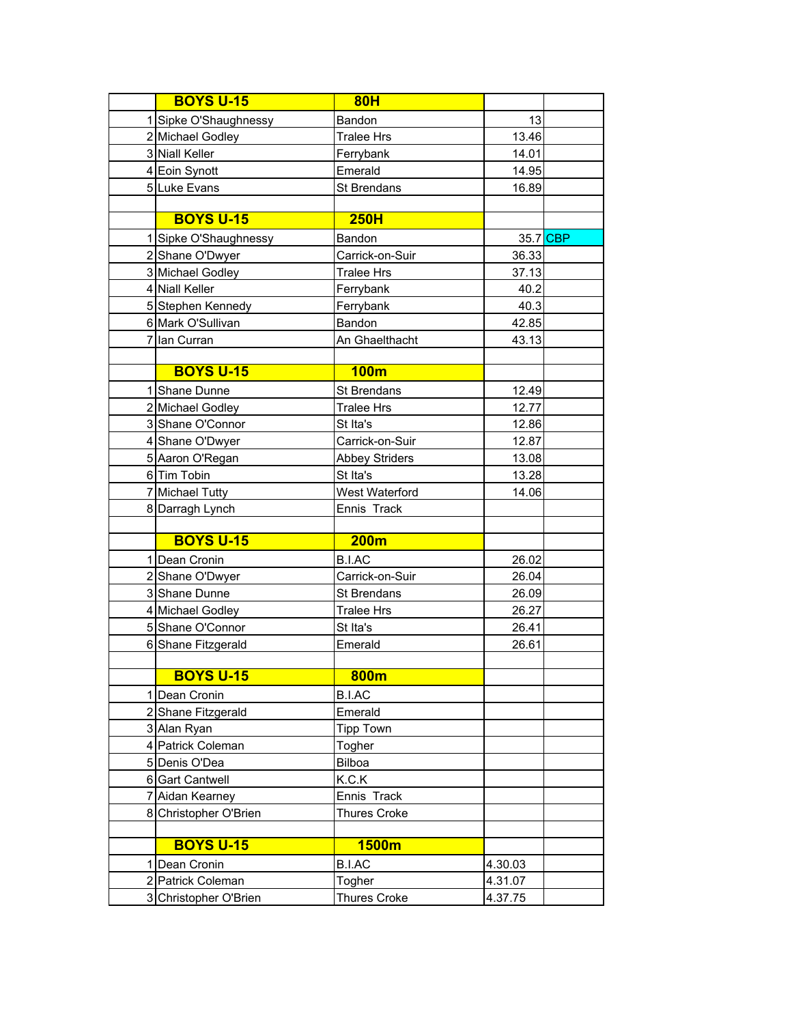|    | <b>BOYS U-15</b>      | 80H                   |         |          |
|----|-----------------------|-----------------------|---------|----------|
|    | 1 Sipke O'Shaughnessy | Bandon                | 13      |          |
|    | 2 Michael Godley      | <b>Tralee Hrs</b>     | 13.46   |          |
|    | 3 Niall Keller        | Ferrybank             | 14.01   |          |
|    | 4 Eoin Synott         | Emerald               | 14.95   |          |
|    | 5 Luke Evans          | St Brendans           | 16.89   |          |
|    |                       |                       |         |          |
|    | <b>BOYS U-15</b>      | <b>250H</b>           |         |          |
|    | 1 Sipke O'Shaughnessy | Bandon                |         | 35.7 CBP |
|    | 2 Shane O'Dwyer       | Carrick-on-Suir       | 36.33   |          |
|    | 3 Michael Godley      | <b>Tralee Hrs</b>     | 37.13   |          |
|    | 4 Niall Keller        | Ferrybank             | 40.2    |          |
|    | 5 Stephen Kennedy     | Ferrybank             | 40.3    |          |
|    | 6 Mark O'Sullivan     | Bandon                | 42.85   |          |
|    | 7 Ian Curran          | An Ghaelthacht        | 43.13   |          |
|    |                       |                       |         |          |
|    | <b>BOYS U-15</b>      | 100m                  |         |          |
|    | 1 Shane Dunne         | St Brendans           | 12.49   |          |
|    | 2 Michael Godley      | <b>Tralee Hrs</b>     | 12.77   |          |
|    | 3 Shane O'Connor      | St Ita's              | 12.86   |          |
|    | 4 Shane O'Dwyer       | Carrick-on-Suir       | 12.87   |          |
|    | 5 Aaron O'Regan       | <b>Abbey Striders</b> | 13.08   |          |
|    | 6 Tim Tobin           | St Ita's              | 13.28   |          |
|    | 7 Michael Tutty       | West Waterford        | 14.06   |          |
|    | 8 Darragh Lynch       | Ennis Track           |         |          |
|    |                       |                       |         |          |
|    | <b>BOYS U-15</b>      | 200m                  |         |          |
|    | 1 Dean Cronin         | <b>B.I.AC</b>         | 26.02   |          |
|    | 2 Shane O'Dwyer       | Carrick-on-Suir       | 26.04   |          |
|    | 3 Shane Dunne         | St Brendans           | 26.09   |          |
|    | 4 Michael Godley      | <b>Tralee Hrs</b>     | 26.27   |          |
|    | 5 Shane O'Connor      | St Ita's              | 26.41   |          |
|    | 6 Shane Fitzgerald    | Emerald               | 26.61   |          |
|    |                       |                       |         |          |
|    | <b>BOYS U-15</b>      | 800m                  |         |          |
| 11 | Dean Cronin           | B.I.AC                |         |          |
|    | 2 Shane Fitzgerald    | Emerald               |         |          |
|    | 3 Alan Ryan           | <b>Tipp Town</b>      |         |          |
|    | 4 Patrick Coleman     | Togher                |         |          |
|    | 5 Denis O'Dea         | Bilboa                |         |          |
|    | 6 Gart Cantwell       | K.C.K                 |         |          |
|    | 7 Aidan Kearney       | Ennis Track           |         |          |
|    | 8 Christopher O'Brien | <b>Thures Croke</b>   |         |          |
|    |                       |                       |         |          |
|    | <b>BOYS U-15</b>      | 1500m                 |         |          |
|    | 1 Dean Cronin         | <b>B.I.AC</b>         | 4.30.03 |          |
|    | 2 Patrick Coleman     | Togher                | 4.31.07 |          |
|    | 3 Christopher O'Brien | <b>Thures Croke</b>   | 4.37.75 |          |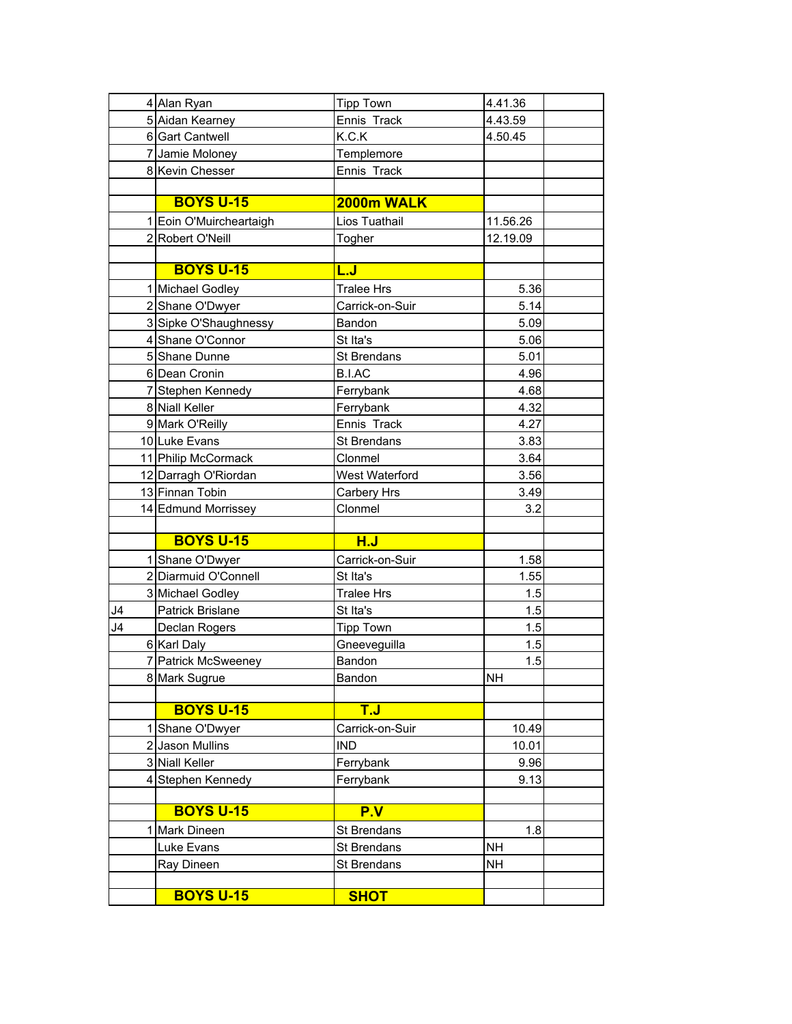|    | 4 Alan Ryan             | <b>Tipp Town</b>   | 4.41.36   |
|----|-------------------------|--------------------|-----------|
|    | 5 Aidan Kearney         | Ennis Track        | 4.43.59   |
|    | 6 Gart Cantwell         | K.C.K              | 4.50.45   |
|    | 7 Jamie Moloney         | Templemore         |           |
|    | 8 Kevin Chesser         | Ennis Track        |           |
|    |                         |                    |           |
|    | <b>BOYS U-15</b>        | 2000m WALK         |           |
|    | 1 Eoin O'Muircheartaigh | Lios Tuathail      | 11.56.26  |
|    | 2 Robert O'Neill        | Togher             | 12.19.09  |
|    |                         |                    |           |
|    | <b>BOYS U-15</b>        | <u>L.J</u>         |           |
|    | 1 Michael Godley        | <b>Tralee Hrs</b>  | 5.36      |
|    | 2 Shane O'Dwyer         | Carrick-on-Suir    | 5.14      |
|    | 3 Sipke O'Shaughnessy   | Bandon             | 5.09      |
|    | 4 Shane O'Connor        | St Ita's           | 5.06      |
|    | 5 Shane Dunne           | St Brendans        | 5.01      |
|    | 6 Dean Cronin           | <b>B.I.AC</b>      | 4.96      |
|    | 7 Stephen Kennedy       | Ferrybank          | 4.68      |
|    | 8 Niall Keller          | Ferrybank          | 4.32      |
|    | 9 Mark O'Reilly         | Ennis Track        | 4.27      |
|    | 10 Luke Evans           | <b>St Brendans</b> | 3.83      |
|    | 11 Philip McCormack     | Clonmel            | 3.64      |
|    | 12 Darragh O'Riordan    | West Waterford     | 3.56      |
|    | 13 Finnan Tobin         | Carbery Hrs        | 3.49      |
|    | 14 Edmund Morrissey     | Clonmel            | 3.2       |
|    |                         |                    |           |
|    | <b>BOYS U-15</b>        | H.J                |           |
|    | 1 Shane O'Dwyer         | Carrick-on-Suir    | 1.58      |
|    | 2 Diarmuid O'Connell    | St Ita's           | 1.55      |
|    | 3 Michael Godley        | <b>Tralee Hrs</b>  | 1.5       |
| J4 | Patrick Brislane        | St Ita's           | 1.5       |
| J4 | Declan Rogers           | <b>Tipp Town</b>   | 1.5       |
|    | 6 Karl Daly             | Gneeveguilla       | 1.5       |
|    | 7 Patrick McSweeney     | Bandon             | 1.5       |
|    | 8 Mark Sugrue           | Bandon             | NΗ        |
|    |                         |                    |           |
|    | <b>BOYS U-15</b>        | <b>T.J</b>         |           |
|    | Shane O'Dwyer           | Carrick-on-Suir    | 10.49     |
|    | 2 Jason Mullins         | <b>IND</b>         | 10.01     |
|    | 3 Niall Keller          | Ferrybank          | 9.96      |
|    | 4 Stephen Kennedy       | Ferrybank          | 9.13      |
|    |                         |                    |           |
|    | <b>BOYS U-15</b>        | P.V                |           |
| 11 | Mark Dineen             | St Brendans        | 1.8       |
|    | Luke Evans              | St Brendans        | <b>NH</b> |
|    | Ray Dineen              | St Brendans        | <b>NH</b> |
|    |                         |                    |           |
|    | <b>BOYS U-15</b>        | <b>SHOT</b>        |           |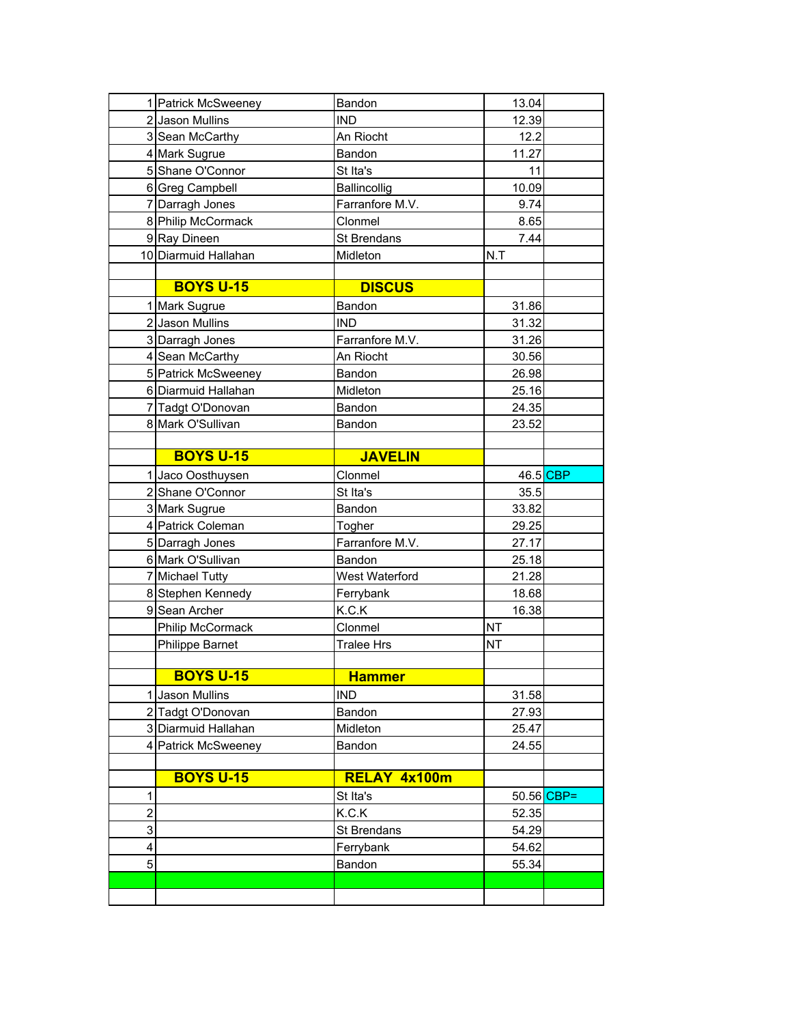|                | 1 Patrick McSweeney  | Bandon            | 13.04      |  |
|----------------|----------------------|-------------------|------------|--|
|                | 2 Jason Mullins      | <b>IND</b>        | 12.39      |  |
|                | 3 Sean McCarthy      | An Riocht         | 12.2       |  |
|                | 4 Mark Sugrue        | Bandon            | 11.27      |  |
|                | 5 Shane O'Connor     | St Ita's          | 11         |  |
|                | 6 Greg Campbell      | Ballincollig      | 10.09      |  |
|                | 7 Darragh Jones      | Farranfore M.V.   | 9.74       |  |
|                | 8 Philip McCormack   | Clonmel           | 8.65       |  |
|                | 9 Ray Dineen         | St Brendans       | 7.44       |  |
|                | 10 Diarmuid Hallahan | Midleton          | N.T        |  |
|                |                      |                   |            |  |
|                | <b>BOYS U-15</b>     | <b>DISCUS</b>     |            |  |
|                | 1 Mark Sugrue        | Bandon            | 31.86      |  |
|                | 2 Jason Mullins      | <b>IND</b>        | 31.32      |  |
|                | 3 Darragh Jones      | Farranfore M.V.   | 31.26      |  |
|                | 4 Sean McCarthy      | An Riocht         | 30.56      |  |
|                | 5 Patrick McSweeney  | Bandon            | 26.98      |  |
|                | 6 Diarmuid Hallahan  | Midleton          | 25.16      |  |
|                | 7 Tadgt O'Donovan    | Bandon            | 24.35      |  |
|                | 8 Mark O'Sullivan    | Bandon            | 23.52      |  |
|                |                      |                   |            |  |
|                | <b>BOYS U-15</b>     | <b>JAVELIN</b>    |            |  |
|                | 1 Jaco Oosthuysen    | Clonmel           | 46.5 CBP   |  |
|                | 2 Shane O'Connor     | St Ita's          | 35.5       |  |
|                |                      |                   |            |  |
|                | 3 Mark Sugrue        | Bandon            | 33.82      |  |
|                | 4 Patrick Coleman    | Togher            | 29.25      |  |
|                | 5 Darragh Jones      | Farranfore M.V.   | 27.17      |  |
|                | 6 Mark O'Sullivan    | Bandon            | 25.18      |  |
|                | 7 Michael Tutty      | West Waterford    | 21.28      |  |
|                | 8 Stephen Kennedy    | Ferrybank         | 18.68      |  |
|                | 9 Sean Archer        | K.C.K             | 16.38      |  |
|                | Philip McCormack     | Clonmel           | <b>NT</b>  |  |
|                | Philippe Barnet      | <b>Tralee Hrs</b> | <b>NT</b>  |  |
|                |                      |                   |            |  |
|                | <b>BOYS U-15</b>     | <b>Hammer</b>     |            |  |
| $1\vert$       | <b>Jason Mullins</b> | <b>IND</b>        | 31.58      |  |
|                | 2 Tadgt O'Donovan    | Bandon            | 27.93      |  |
|                | 3 Diarmuid Hallahan  | Midleton          | 25.47      |  |
|                | 4 Patrick McSweeney  | Bandon            | 24.55      |  |
|                |                      |                   |            |  |
|                | <b>BOYS U-15</b>     | RELAY 4x100m      |            |  |
| 1              |                      | St Ita's          | 50.56 CBP= |  |
| $\overline{2}$ |                      | K.C.K             | 52.35      |  |
| 3              |                      | St Brendans       | 54.29      |  |
| 4              |                      | Ferrybank         | 54.62      |  |
| $\overline{5}$ |                      | Bandon            | 55.34      |  |
|                |                      |                   |            |  |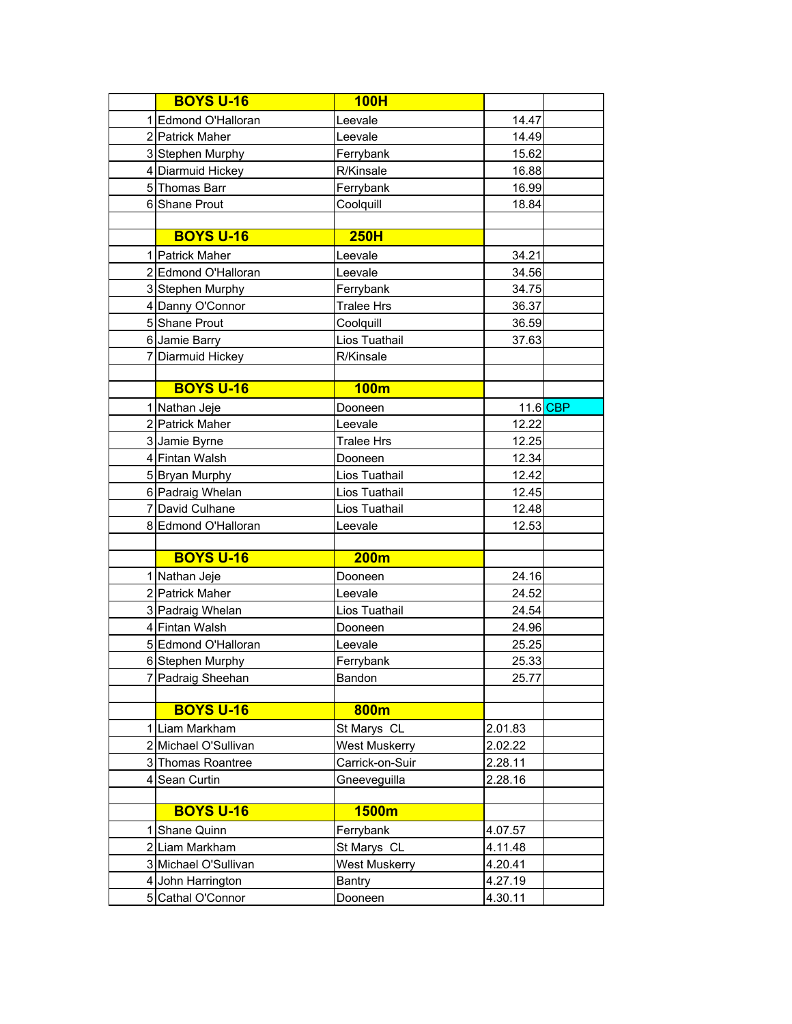|    | <b>BOYS U-16</b>     | <b>100H</b>          |         |          |
|----|----------------------|----------------------|---------|----------|
|    | 1 Edmond O'Halloran  | Leevale              | 14.47   |          |
|    | 2 Patrick Maher      | Leevale              | 14.49   |          |
|    | 3 Stephen Murphy     | Ferrybank            | 15.62   |          |
|    | 4 Diarmuid Hickey    | R/Kinsale            | 16.88   |          |
|    | 5 Thomas Barr        | Ferrybank            | 16.99   |          |
|    | 6 Shane Prout        | Coolquill            | 18.84   |          |
|    |                      |                      |         |          |
|    | <b>BOYS U-16</b>     | 250H                 |         |          |
|    | 1 Patrick Maher      | Leevale              | 34.21   |          |
|    | 2 Edmond O'Halloran  | Leevale              | 34.56   |          |
|    | 3 Stephen Murphy     | Ferrybank            | 34.75   |          |
|    | 4 Danny O'Connor     | <b>Tralee Hrs</b>    | 36.37   |          |
|    | 5 Shane Prout        | Coolquill            | 36.59   |          |
|    | 6 Jamie Barry        | Lios Tuathail        | 37.63   |          |
|    | 7 Diarmuid Hickey    | R/Kinsale            |         |          |
|    |                      |                      |         |          |
|    | <b>BOYS U-16</b>     | 100m                 |         |          |
|    | 1 Nathan Jeje        | Dooneen              |         | 11.6 CBP |
|    | 2 Patrick Maher      | Leevale              | 12.22   |          |
|    | 3 Jamie Byrne        | <b>Tralee Hrs</b>    | 12.25   |          |
|    | 4 Fintan Walsh       | Dooneen              | 12.34   |          |
|    | 5 Bryan Murphy       | Lios Tuathail        | 12.42   |          |
|    | 6 Padraig Whelan     | Lios Tuathail        | 12.45   |          |
|    | 7 David Culhane      | Lios Tuathail        | 12.48   |          |
|    | 8 Edmond O'Halloran  | Leevale              | 12.53   |          |
|    |                      |                      |         |          |
|    | <b>BOYS U-16</b>     | <b>200m</b>          |         |          |
|    | 1 Nathan Jeje        | Dooneen              | 24.16   |          |
|    | 2 Patrick Maher      | Leevale              | 24.52   |          |
|    | 3 Padraig Whelan     | Lios Tuathail        | 24.54   |          |
|    | 4 Fintan Walsh       | Dooneen              | 24.96   |          |
|    | 5 Edmond O'Halloran  | Leevale              | 25.25   |          |
|    | 6 Stephen Murphy     | Ferrybank            | 25.33   |          |
|    | 7 Padraig Sheehan    | Bandon               | 25.77   |          |
|    |                      |                      |         |          |
|    | <b>BOYS U-16</b>     | 800m                 |         |          |
|    | 1 Liam Markham       | St Marys CL          | 2.01.83 |          |
|    | 2 Michael O'Sullivan | <b>West Muskerry</b> | 2.02.22 |          |
|    | 3 Thomas Roantree    | Carrick-on-Suir      | 2.28.11 |          |
|    | 4 Sean Curtin        | Gneeveguilla         | 2.28.16 |          |
|    | <b>BOYS U-16</b>     |                      |         |          |
|    |                      | 1500m                |         |          |
| 11 | Shane Quinn          | Ferrybank            | 4.07.57 |          |
|    | 2 Liam Markham       | St Marys CL          | 4.11.48 |          |
|    | 3 Michael O'Sullivan | West Muskerry        | 4.20.41 |          |
|    | 4 John Harrington    | <b>Bantry</b>        | 4.27.19 |          |
|    | 5 Cathal O'Connor    | Dooneen              | 4.30.11 |          |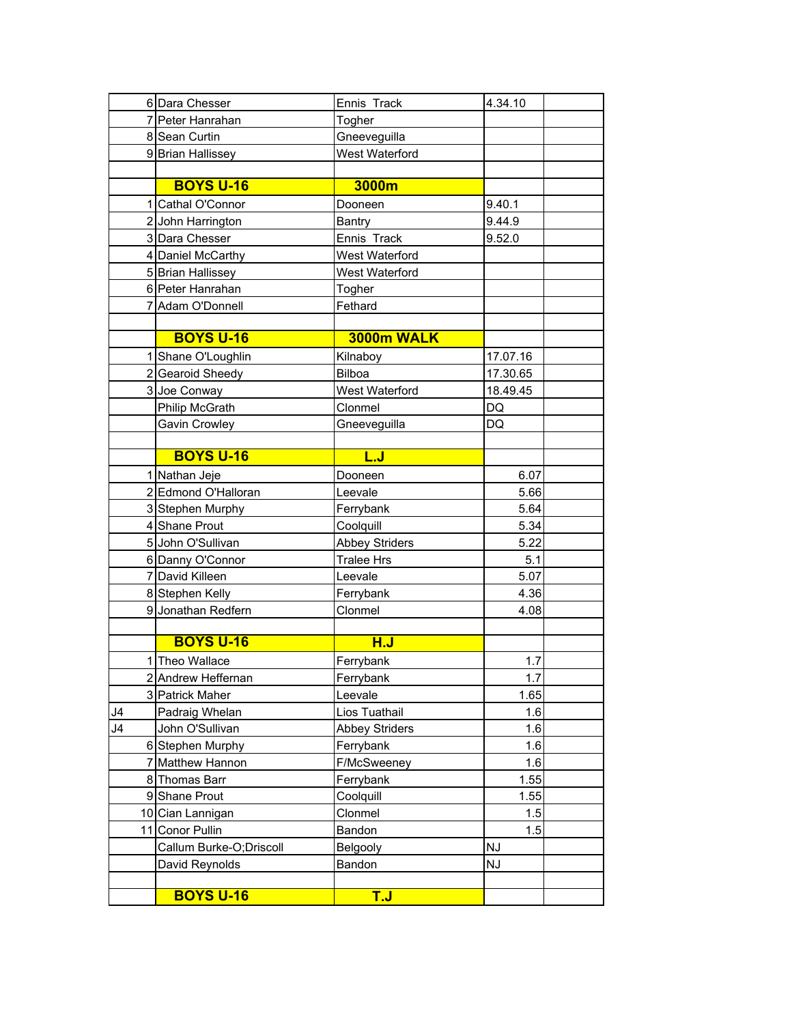|              | 6 Dara Chesser           | Ennis Track           | 4.34.10   |  |
|--------------|--------------------------|-----------------------|-----------|--|
|              | 7 Peter Hanrahan         | Togher                |           |  |
|              | 8 Sean Curtin            | Gneeveguilla          |           |  |
|              | 9 Brian Hallissey        | West Waterford        |           |  |
|              |                          |                       |           |  |
|              | <b>BOYS U-16</b>         | 3000m                 |           |  |
| 11           | Cathal O'Connor          | Dooneen               | 9.40.1    |  |
|              | 2 John Harrington        | Bantry                | 9.44.9    |  |
|              | 3 Dara Chesser           | Ennis Track           | 9.52.0    |  |
|              | 4 Daniel McCarthy        | West Waterford        |           |  |
|              | 5 Brian Hallissey        | West Waterford        |           |  |
|              | 6 Peter Hanrahan         | Togher                |           |  |
|              | 7 Adam O'Donnell         | Fethard               |           |  |
|              |                          |                       |           |  |
|              | <b>BOYS U-16</b>         | 3000m WALK            |           |  |
|              | 1 Shane O'Loughlin       | Kilnaboy              | 17.07.16  |  |
|              | 2 Gearoid Sheedy         | Bilboa                | 17.30.65  |  |
|              | 3 Joe Conway             | West Waterford        | 18.49.45  |  |
|              | Philip McGrath           | Clonmel               | DQ        |  |
|              | Gavin Crowley            | Gneeveguilla          | DQ        |  |
|              |                          |                       |           |  |
|              | <b>BOYS U-16</b>         | L.J                   |           |  |
|              | 1 Nathan Jeje            | Dooneen               | 6.07      |  |
|              | 2 Edmond O'Halloran      | Leevale               | 5.66      |  |
|              | 3 Stephen Murphy         | Ferrybank             | 5.64      |  |
|              | 4 Shane Prout            | Coolquill             | 5.34      |  |
|              | 5 John O'Sullivan        | <b>Abbey Striders</b> | 5.22      |  |
|              | 6 Danny O'Connor         | <b>Tralee Hrs</b>     | 5.1       |  |
|              | 7 David Killeen          | Leevale               | 5.07      |  |
|              | 8 Stephen Kelly          | Ferrybank             | 4.36      |  |
|              | 9 Jonathan Redfern       | Clonmel               | 4.08      |  |
|              |                          |                       |           |  |
|              | <b>BOYS U-16</b>         | H.J                   |           |  |
| $\mathbf{1}$ | Theo Wallace             | Ferrybank             | 1.7       |  |
|              | 2 Andrew Heffernan       | Ferrybank             | 1.7       |  |
|              | 3 Patrick Maher          | Leevale               | 1.65      |  |
| J4           | Padraig Whelan           | Lios Tuathail         | 1.6       |  |
| J4           | John O'Sullivan          | <b>Abbey Striders</b> | 1.6       |  |
|              | 6 Stephen Murphy         | Ferrybank             | 1.6       |  |
|              | 7 Matthew Hannon         | F/McSweeney           | 1.6       |  |
|              | 8 Thomas Barr            | Ferrybank             | 1.55      |  |
|              | 9 Shane Prout            | Coolquill             | 1.55      |  |
|              | 10 Cian Lannigan         | Clonmel               | 1.5       |  |
|              | 11 Conor Pullin          | Bandon                | 1.5       |  |
|              | Callum Burke-O; Driscoll | Belgooly              | <b>NJ</b> |  |
|              | David Reynolds           | Bandon                | NJ        |  |
|              |                          |                       |           |  |
|              | <b>BOYS U-16</b>         | <b>T.J</b>            |           |  |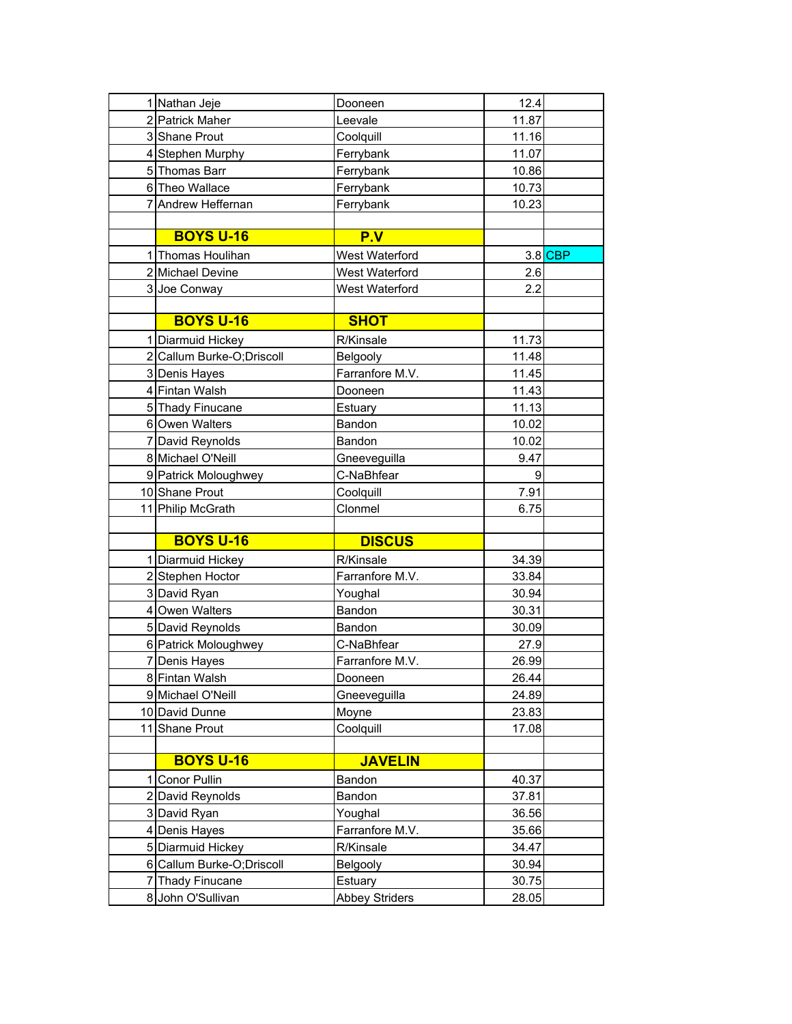| 1 Nathan Jeje                            | Dooneen         | 12.4    |
|------------------------------------------|-----------------|---------|
| 2 Patrick Maher                          | Leevale         | 11.87   |
| 3 Shane Prout                            | Coolquill       | 11.16   |
| 4 Stephen Murphy                         | Ferrybank       | 11.07   |
| 5 Thomas Barr                            | Ferrybank       | 10.86   |
| 6 Theo Wallace                           | Ferrybank       | 10.73   |
| 7 Andrew Heffernan                       | Ferrybank       | 10.23   |
|                                          |                 |         |
| <b>BOYS U-16</b>                         | P.V             |         |
| 1 Thomas Houlihan                        | West Waterford  | 3.8 CBP |
| 2 Michael Devine                         | West Waterford  | 2.6     |
| 3 Joe Conway                             | West Waterford  | 2.2     |
|                                          |                 |         |
| <b>BOYS U-16</b>                         | <b>SHOT</b>     |         |
| 1 Diarmuid Hickey                        | R/Kinsale       | 11.73   |
| 2 Callum Burke-O; Driscoll               | Belgooly        | 11.48   |
| 3 Denis Hayes                            | Farranfore M.V. | 11.45   |
| 4 Fintan Walsh                           | Dooneen         | 11.43   |
| 5 Thady Finucane                         | Estuary         | 11.13   |
| 6 Owen Walters                           | Bandon          | 10.02   |
| 7 David Reynolds                         | Bandon          | 10.02   |
| 8 Michael O'Neill                        | Gneeveguilla    | 9.47    |
| 9 Patrick Moloughwey                     | C-NaBhfear      | 9       |
| 10 Shane Prout                           | Coolquill       | 7.91    |
|                                          |                 |         |
|                                          | Clonmel         | 6.75    |
| 11 Philip McGrath                        |                 |         |
| <b>BOYS U-16</b>                         | <b>DISCUS</b>   |         |
|                                          | R/Kinsale       | 34.39   |
| 1 Diarmuid Hickey                        | Farranfore M.V. | 33.84   |
| 2 Stephen Hoctor                         | Youghal         | 30.94   |
| 3 David Ryan<br>4 Owen Walters           | Bandon          | 30.31   |
|                                          | Bandon          | 30.09   |
| 5 David Reynolds<br>6 Patrick Moloughwey | C-NaBhfear      | 27.9    |
| 7 Denis Hayes                            | Farranfore M.V. | 26.99   |
| 8 Fintan Walsh                           | Dooneen         | 26.44   |
| 9 Michael O'Neill                        | Gneeveguilla    | 24.89   |
| 10 David Dunne                           | Moyne           | 23.83   |
| 11 Shane Prout                           | Coolquill       | 17.08   |
|                                          |                 |         |
| <b>BOYS U-16</b>                         | <b>JAVELIN</b>  |         |
| <b>Conor Pullin</b>                      | Bandon          | 40.37   |
| 2 David Reynolds                         | Bandon          | 37.81   |
| 3 David Ryan                             | Youghal         | 36.56   |
| 4 Denis Hayes                            | Farranfore M.V. | 35.66   |
| 5 Diarmuid Hickey                        | R/Kinsale       | 34.47   |
| 6 Callum Burke-O; Driscoll               | Belgooly        | 30.94   |
| 7 Thady Finucane                         | Estuary         | 30.75   |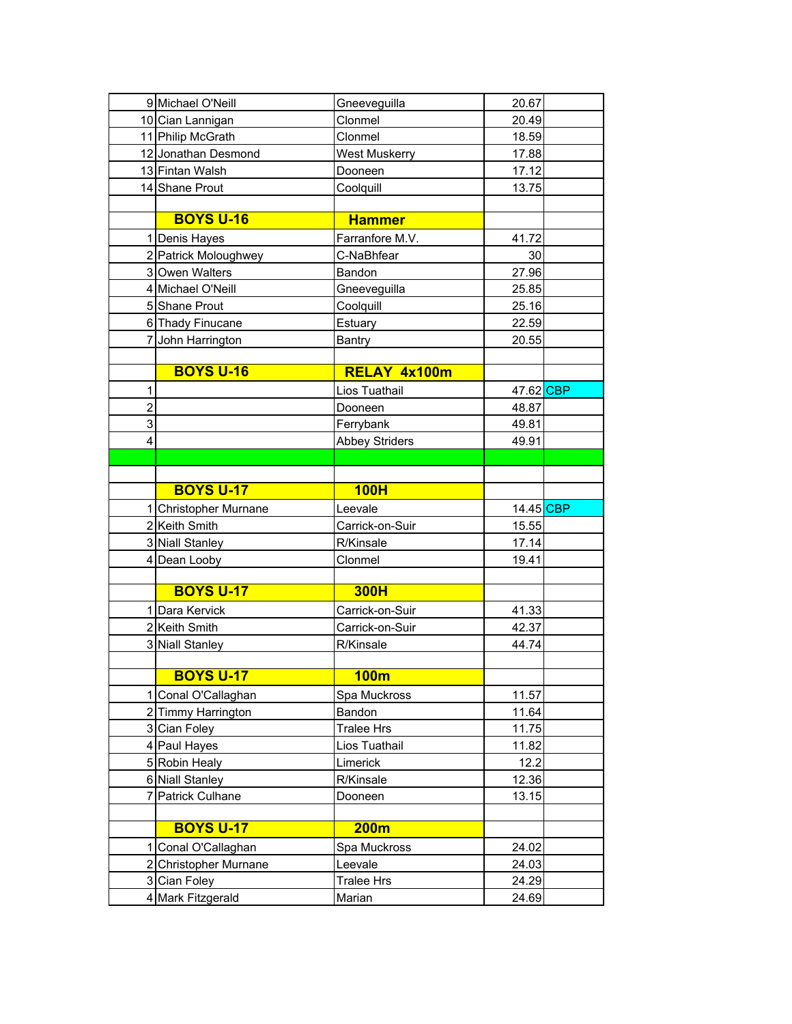|                | 9 Michael O'Neill     | Gneeveguilla          | 20.67     |
|----------------|-----------------------|-----------------------|-----------|
|                | 10 Cian Lannigan      | Clonmel               | 20.49     |
|                | 11 Philip McGrath     | Clonmel               | 18.59     |
|                | 12 Jonathan Desmond   | West Muskerry         | 17.88     |
|                | 13 Fintan Walsh       | Dooneen               | 17.12     |
|                | 14 Shane Prout        | Coolquill             | 13.75     |
|                |                       |                       |           |
|                | <b>BOYS U-16</b>      | <b>Hammer</b>         |           |
|                | 1 Denis Hayes         | Farranfore M.V.       | 41.72     |
|                | 2 Patrick Moloughwey  | C-NaBhfear            | 30        |
|                | 3 Owen Walters        | Bandon                | 27.96     |
|                | 4 Michael O'Neill     | Gneeveguilla          | 25.85     |
|                | 5 Shane Prout         | Coolquill             | 25.16     |
|                | 6 Thady Finucane      | Estuary               | 22.59     |
|                | 7 John Harrington     | <b>Bantry</b>         | 20.55     |
|                |                       |                       |           |
|                | <b>BOYS U-16</b>      | RELAY 4x100m          |           |
| 1              |                       | Lios Tuathail         | 47.62 CBP |
| $\overline{2}$ |                       | Dooneen               | 48.87     |
| 3              |                       | Ferrybank             | 49.81     |
| 4              |                       | <b>Abbey Striders</b> | 49.91     |
|                |                       |                       |           |
|                |                       |                       |           |
|                | <b>BOYS U-17</b>      | 100H                  |           |
|                | 1 Christopher Murnane | Leevale               | 14.45 CBP |
|                | 2 Keith Smith         | Carrick-on-Suir       |           |
|                |                       |                       | 15.55     |
|                | 3 Niall Stanley       | R/Kinsale             | 17.14     |
|                | 4 Dean Looby          | Clonmel               | 19.41     |
|                |                       |                       |           |
|                | <b>BOYS U-17</b>      | <b>300H</b>           |           |
|                | 1 Dara Kervick        | Carrick-on-Suir       | 41.33     |
|                | 2 Keith Smith         | Carrick-on-Suir       | 42.37     |
|                | 3 Niall Stanley       | R/Kinsale             | 44.74     |
|                |                       |                       |           |
|                | <b>BOYS U-17</b>      | 100m                  |           |
| 11             | Conal O'Callaghan     | Spa Muckross          | 11.57     |
|                | 2 Timmy Harrington    | Bandon                | 11.64     |
|                | 3 Cian Foley          | <b>Tralee Hrs</b>     | 11.75     |
|                | 4 Paul Hayes          | Lios Tuathail         | 11.82     |
|                | 5 Robin Healy         | Limerick              | 12.2      |
|                | 6 Niall Stanley       | R/Kinsale             | 12.36     |
|                | 7 Patrick Culhane     | Dooneen               | 13.15     |
|                |                       |                       |           |
|                | <b>BOYS U-17</b>      | 200m                  |           |
|                | 1 Conal O'Callaghan   | Spa Muckross          | 24.02     |
|                | 2 Christopher Murnane | Leevale               | 24.03     |
|                | 3 Cian Foley          | <b>Tralee Hrs</b>     | 24.29     |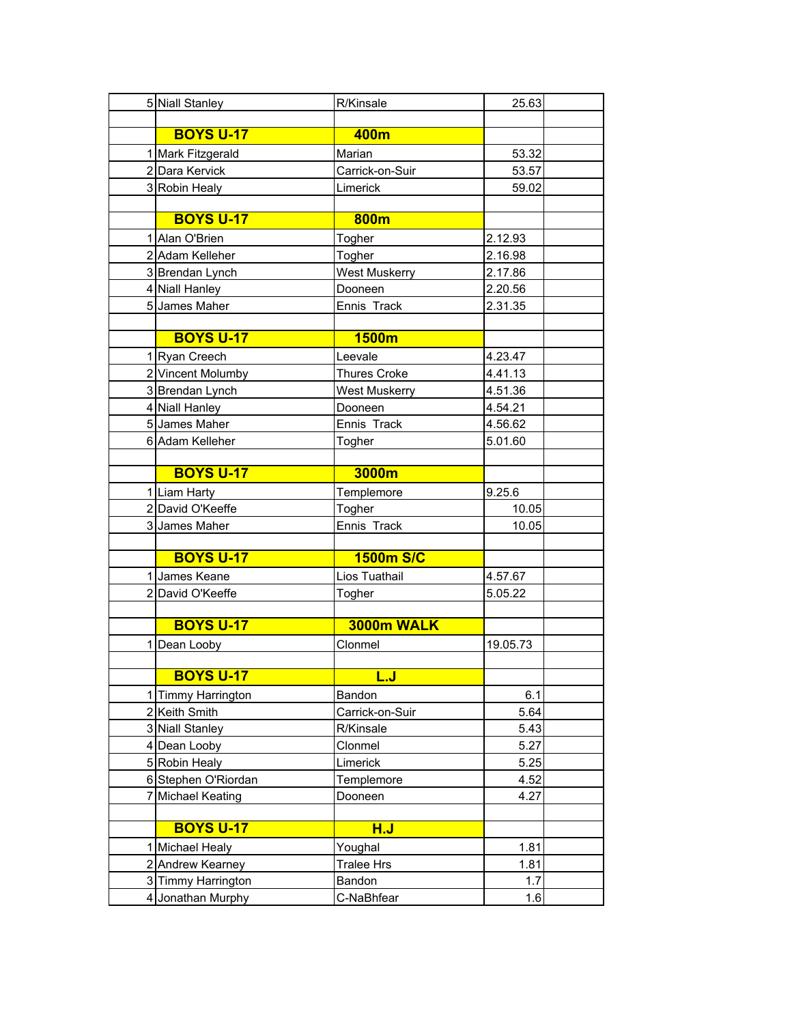|   | 5 Niall Stanley      | R/Kinsale            | 25.63    |
|---|----------------------|----------------------|----------|
|   |                      |                      |          |
|   | <b>BOYS U-17</b>     | 400m                 |          |
|   | 1 Mark Fitzgerald    | Marian               | 53.32    |
|   | 2 Dara Kervick       | Carrick-on-Suir      | 53.57    |
|   | 3 Robin Healy        | Limerick             | 59.02    |
|   |                      |                      |          |
|   | <b>BOYS U-17</b>     | 800m                 |          |
|   | 1 Alan O'Brien       | Togher               | 2.12.93  |
|   | 2 Adam Kelleher      | Togher               | 2.16.98  |
|   | 3 Brendan Lynch      | <b>West Muskerry</b> | 2.17.86  |
|   | 4 Niall Hanley       | Dooneen              | 2.20.56  |
|   | 5 James Maher        | Ennis Track          | 2.31.35  |
|   |                      |                      |          |
|   | <b>BOYS U-17</b>     | 1500m                |          |
|   | 1 Ryan Creech        | Leevale              | 4.23.47  |
|   | 2 Vincent Molumby    | <b>Thures Croke</b>  | 4.41.13  |
|   | 3 Brendan Lynch      | <b>West Muskerry</b> | 4.51.36  |
|   | 4 Niall Hanley       | Dooneen              | 4.54.21  |
|   | 5 James Maher        | Ennis Track          | 4.56.62  |
|   | 6 Adam Kelleher      | Togher               | 5.01.60  |
|   |                      |                      |          |
|   | <b>BOYS U-17</b>     | 3000m                |          |
|   | 1 Liam Harty         | Templemore           | 9.25.6   |
|   | 2 David O'Keeffe     | Togher               | 10.05    |
|   | 3 James Maher        | Ennis Track          | 10.05    |
|   |                      |                      |          |
|   | <b>BOYS U-17</b>     | <b>1500m S/C</b>     |          |
|   | 1 James Keane        | Lios Tuathail        | 4.57.67  |
|   | 2 David O'Keeffe     | Togher               | 5.05.22  |
|   |                      |                      |          |
|   | <b>BOYS U-17</b>     | 3000m WALK           |          |
| 1 | Dean Looby           | Clonmel              | 19.05.73 |
|   |                      |                      |          |
|   | <b>BOYS U-17</b>     | <u>L.J</u>           |          |
|   | 1 Timmy Harrington   | Bandon               | 6.1      |
|   | 2 Keith Smith        | Carrick-on-Suir      | 5.64     |
|   | 3 Niall Stanley      | R/Kinsale            | 5.43     |
|   | 4 Dean Looby         | Clonmel              | 5.27     |
|   | 5 Robin Healy        | Limerick             | 5.25     |
|   | 6 Stephen O'Riordan  | Templemore           | 4.52     |
|   | 7 Michael Keating    | Dooneen              | 4.27     |
|   |                      |                      |          |
|   | <b>BOYS U-17</b>     | <u>H.J</u>           |          |
| 1 | <b>Michael Healy</b> | Youghal              | 1.81     |
|   | 2 Andrew Kearney     | <b>Tralee Hrs</b>    | 1.81     |
|   | 3 Timmy Harrington   | Bandon               | 1.7      |
|   | 4 Jonathan Murphy    | C-NaBhfear           | 1.6      |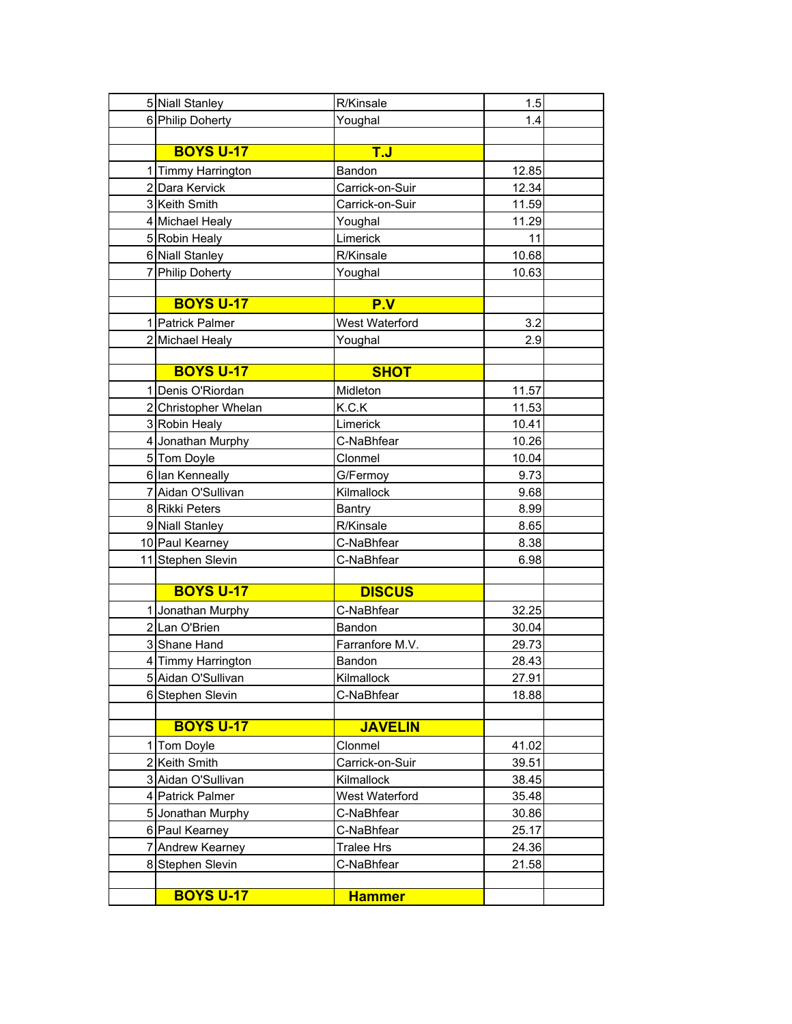| 5 Niall Stanley      | R/Kinsale         | 1.5   |  |
|----------------------|-------------------|-------|--|
| 6 Philip Doherty     | Youghal           | 1.4   |  |
|                      |                   |       |  |
| <b>BOYS U-17</b>     | T.J               |       |  |
| 1 Timmy Harrington   | Bandon            | 12.85 |  |
| 2 Dara Kervick       | Carrick-on-Suir   | 12.34 |  |
| 3 Keith Smith        | Carrick-on-Suir   | 11.59 |  |
| 4 Michael Healy      | Youghal           | 11.29 |  |
| 5 Robin Healy        | Limerick          | 11    |  |
| 6 Niall Stanley      | R/Kinsale         | 10.68 |  |
| 7 Philip Doherty     | Youghal           | 10.63 |  |
|                      |                   |       |  |
| <b>BOYS U-17</b>     | P.V               |       |  |
| 1 Patrick Palmer     | West Waterford    | 3.2   |  |
| 2 Michael Healy      | Youghal           | 2.9   |  |
|                      |                   |       |  |
| <b>BOYS U-17</b>     | <b>SHOT</b>       |       |  |
| 1 Denis O'Riordan    | Midleton          | 11.57 |  |
| 2 Christopher Whelan | K.C.K             | 11.53 |  |
| 3 Robin Healy        | Limerick          | 10.41 |  |
| 4 Jonathan Murphy    | C-NaBhfear        | 10.26 |  |
| 5 Tom Doyle          | Clonmel           | 10.04 |  |
| 6 Ian Kenneally      | G/Fermoy          | 9.73  |  |
| 7 Aidan O'Sullivan   | Kilmallock        | 9.68  |  |
| 8 Rikki Peters       | <b>Bantry</b>     | 8.99  |  |
| 9 Niall Stanley      | R/Kinsale         | 8.65  |  |
| 10 Paul Kearney      | C-NaBhfear        | 8.38  |  |
| 11 Stephen Slevin    | C-NaBhfear        | 6.98  |  |
|                      |                   |       |  |
| <b>BOYS U-17</b>     | <b>DISCUS</b>     |       |  |
| 1 Jonathan Murphy    | C-NaBhfear        | 32.25 |  |
| 2Lan O'Brien         | Bandon            | 30.04 |  |
| 3 Shane Hand         | Farranfore M.V.   | 29.73 |  |
| 4 Timmy Harrington   | Bandon            | 28.43 |  |
| 5 Aidan O'Sullivan   | Kilmallock        | 27.91 |  |
| 6 Stephen Slevin     | C-NaBhfear        | 18.88 |  |
|                      |                   |       |  |
| <b>BOYS U-17</b>     | <b>JAVELIN</b>    |       |  |
| 1 Tom Doyle          | Clonmel           | 41.02 |  |
| 2 Keith Smith        | Carrick-on-Suir   | 39.51 |  |
| 3 Aidan O'Sullivan   | Kilmallock        | 38.45 |  |
| 4 Patrick Palmer     | West Waterford    | 35.48 |  |
| 5 Jonathan Murphy    | C-NaBhfear        | 30.86 |  |
| 6 Paul Kearney       | C-NaBhfear        | 25.17 |  |
| 7 Andrew Kearney     | <b>Tralee Hrs</b> | 24.36 |  |
| 8 Stephen Slevin     | C-NaBhfear        | 21.58 |  |
|                      |                   |       |  |
| <b>BOYS U-17</b>     | <b>Hammer</b>     |       |  |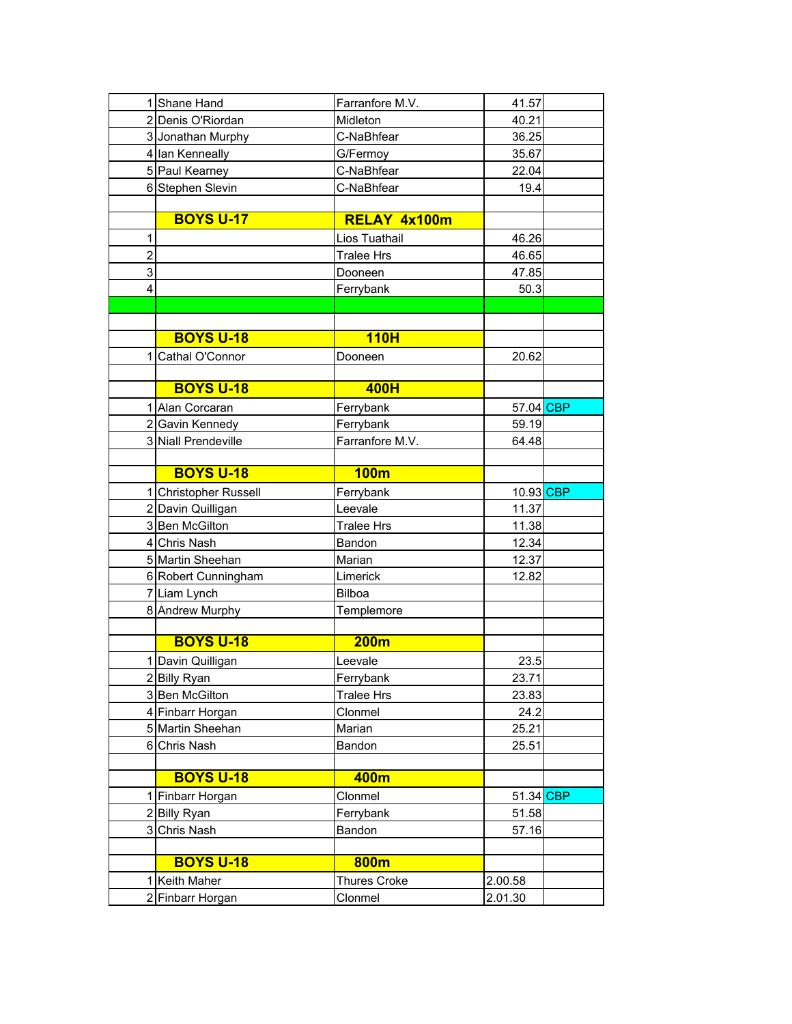|                | 1 Shane Hand               | Farranfore M.V.     | 41.57     |  |
|----------------|----------------------------|---------------------|-----------|--|
|                | 2 Denis O'Riordan          | Midleton            | 40.21     |  |
|                | 3 Jonathan Murphy          | C-NaBhfear          | 36.25     |  |
|                | 4 Ian Kenneally            | G/Fermoy            | 35.67     |  |
|                | 5 Paul Kearney             | C-NaBhfear          | 22.04     |  |
|                | 6 Stephen Slevin           | C-NaBhfear          | 19.4      |  |
|                |                            |                     |           |  |
|                | <b>BOYS U-17</b>           | RELAY 4x100m        |           |  |
| 1              |                            | Lios Tuathail       | 46.26     |  |
| $\overline{2}$ |                            | <b>Tralee Hrs</b>   | 46.65     |  |
| 3              |                            | Dooneen             | 47.85     |  |
| 4              |                            | Ferrybank           | 50.3      |  |
|                |                            |                     |           |  |
|                |                            |                     |           |  |
|                | <b>BOYS U-18</b>           | <b>110H</b>         |           |  |
| 1              | Cathal O'Connor            | Dooneen             | 20.62     |  |
|                |                            |                     |           |  |
|                | <b>BOYS U-18</b>           | 400H                |           |  |
|                | 1 Alan Corcaran            | Ferrybank           | 57.04 CBP |  |
|                | 2 Gavin Kennedy            | Ferrybank           | 59.19     |  |
|                | 3 Niall Prendeville        | Farranfore M.V.     | 64.48     |  |
|                |                            |                     |           |  |
|                | <b>BOYS U-18</b>           | <b>100m</b>         |           |  |
|                | <b>Christopher Russell</b> | Ferrybank           | 10.93 CBP |  |
|                | 2 Davin Quilligan          | Leevale             | 11.37     |  |
|                | 3 Ben McGilton             | <b>Tralee Hrs</b>   | 11.38     |  |
|                | 4 Chris Nash               | Bandon              | 12.34     |  |
|                | 5 Martin Sheehan           | Marian              | 12.37     |  |
|                | 6 Robert Cunningham        | Limerick            | 12.82     |  |
|                | 7 Liam Lynch               | Bilboa              |           |  |
|                | 8 Andrew Murphy            | Templemore          |           |  |
|                |                            |                     |           |  |
|                | <b>BOYS U-18</b>           | 200m                |           |  |
|                | 1 Davin Quilligan          | Leevale             | 23.5      |  |
|                | 2 Billy Ryan               | Ferrybank           | 23.71     |  |
|                | 3 Ben McGilton             | <b>Tralee Hrs</b>   | 23.83     |  |
|                | 4 Finbarr Horgan           | Clonmel             | 24.2      |  |
|                | 5 Martin Sheehan           | Marian              | 25.21     |  |
|                | 6 Chris Nash               | Bandon              | 25.51     |  |
|                |                            |                     |           |  |
|                | <b>BOYS U-18</b>           | 400m                |           |  |
|                | 1 Finbarr Horgan           | Clonmel             | 51.34 CBP |  |
|                | 2 Billy Ryan               | Ferrybank           | 51.58     |  |
|                | 3 Chris Nash               | Bandon              | 57.16     |  |
|                |                            |                     |           |  |
|                | <b>BOYS U-18</b>           | 800m                |           |  |
|                | 1 Keith Maher              | <b>Thures Croke</b> | 2.00.58   |  |
|                | 2 Finbarr Horgan           | Clonmel             | 2.01.30   |  |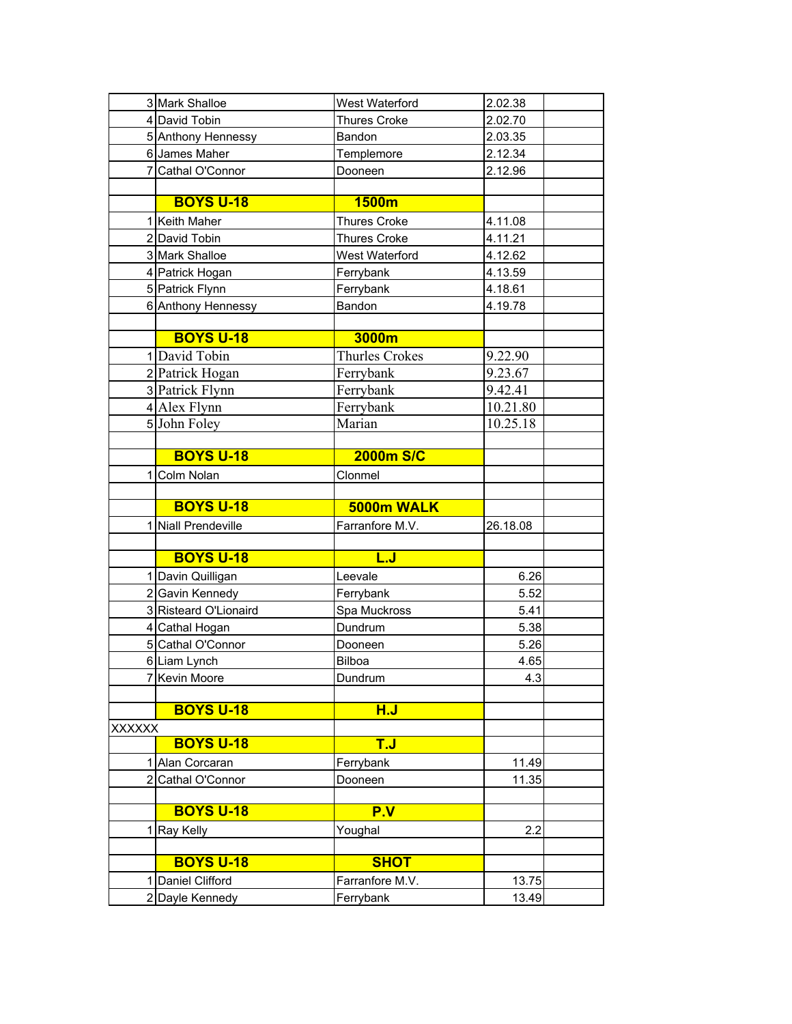|                | 3 Mark Shalloe                       | West Waterford               | 2.02.38        |
|----------------|--------------------------------------|------------------------------|----------------|
|                | 4 David Tobin                        | <b>Thures Croke</b>          | 2.02.70        |
|                | 5 Anthony Hennessy                   | Bandon                       | 2.03.35        |
|                | 6 James Maher                        | Templemore                   | 2.12.34        |
|                | 7 Cathal O'Connor                    | Dooneen                      | 2.12.96        |
|                |                                      |                              |                |
|                | <b>BOYS U-18</b>                     | 1500m                        |                |
|                | 1 Keith Maher                        | <b>Thures Croke</b>          | 4.11.08        |
|                | 2 David Tobin                        | <b>Thures Croke</b>          | 4.11.21        |
|                | 3 Mark Shalloe                       | West Waterford               | 4.12.62        |
|                | 4 Patrick Hogan                      | Ferrybank                    | 4.13.59        |
|                | 5 Patrick Flynn                      | Ferrybank                    | 4.18.61        |
|                | 6 Anthony Hennessy                   | Bandon                       | 4.19.78        |
|                |                                      |                              |                |
|                | <b>BOYS U-18</b>                     | 3000m                        |                |
|                | 1 David Tobin                        | <b>Thurles Crokes</b>        | 9.22.90        |
|                | 2 Patrick Hogan                      | Ferrybank                    | 9.23.67        |
|                | 3 Patrick Flynn                      | Ferrybank                    | 9.42.41        |
|                | 4 Alex Flynn                         | Ferrybank                    | 10.21.80       |
|                | 5 John Foley                         | Marian                       | 10.25.18       |
|                |                                      |                              |                |
|                | <b>BOYS U-18</b>                     | <b>2000m S/C</b>             |                |
| 1              | Colm Nolan                           | Clonmel                      |                |
|                |                                      |                              |                |
|                |                                      |                              |                |
|                | <b>BOYS U-18</b>                     | 5000m WALK                   |                |
|                | 1 Niall Prendeville                  | Farranfore M.V.              | 26.18.08       |
|                |                                      |                              |                |
|                | <b>BOYS U-18</b>                     | <u>L.J</u>                   |                |
|                | 1 Davin Quilligan                    | Leevale                      | 6.26           |
|                | 2 Gavin Kennedy                      | Ferrybank                    | 5.52           |
|                | 3 Risteard O'Lionaird                | Spa Muckross                 | 5.41           |
|                | 4 Cathal Hogan                       | Dundrum                      | 5.38           |
|                | 5 Cathal O'Connor                    | Dooneen                      | 5.26           |
|                | 6 Liam Lynch                         | <b>Bilboa</b>                | 4.65           |
|                | Kevin Moore                          | Dundrum                      | 4.3            |
|                |                                      |                              |                |
|                | <b>BOYS U-18</b>                     | H.J                          |                |
| <b>XXXXXX</b>  |                                      |                              |                |
|                | <b>BOYS U-18</b>                     | <b>T.J</b>                   |                |
|                | Alan Corcaran                        | Ferrybank                    | 11.49          |
| $\overline{2}$ | Cathal O'Connor                      | Dooneen                      | 11.35          |
|                |                                      |                              |                |
|                | <b>BOYS U-18</b>                     | P.V                          |                |
| 1              | Ray Kelly                            | Youghal                      | 2.2            |
|                |                                      |                              |                |
|                | <b>BOYS U-18</b>                     | <b>SHOT</b>                  |                |
|                | 1 Daniel Clifford<br>2 Dayle Kennedy | Farranfore M.V.<br>Ferrybank | 13.75<br>13.49 |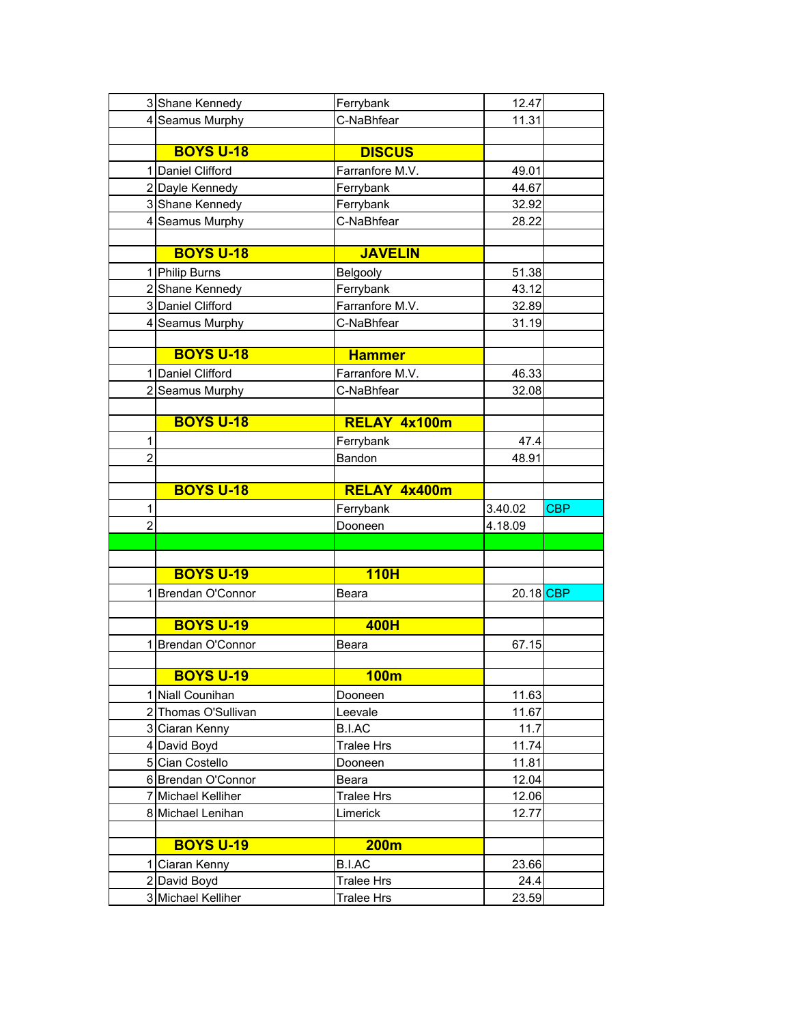|                | 3 Shane Kennedy                    | Ferrybank         | 12.47     |            |
|----------------|------------------------------------|-------------------|-----------|------------|
|                | 4 Seamus Murphy                    | C-NaBhfear        | 11.31     |            |
|                |                                    |                   |           |            |
|                | <b>BOYS U-18</b>                   | <b>DISCUS</b>     |           |            |
|                | 1 Daniel Clifford                  | Farranfore M.V.   | 49.01     |            |
|                | 2 Dayle Kennedy                    | Ferrybank         | 44.67     |            |
|                | 3 Shane Kennedy                    | Ferrybank         | 32.92     |            |
|                | 4 Seamus Murphy                    | C-NaBhfear        | 28.22     |            |
|                |                                    |                   |           |            |
|                | <b>BOYS U-18</b>                   | <b>JAVELIN</b>    |           |            |
|                | 1 Philip Burns                     | Belgooly          | 51.38     |            |
|                | 2 Shane Kennedy                    | Ferrybank         | 43.12     |            |
|                | 3 Daniel Clifford                  | Farranfore M.V.   | 32.89     |            |
|                | 4 Seamus Murphy                    | C-NaBhfear        | 31.19     |            |
|                |                                    |                   |           |            |
|                | <b>BOYS U-18</b>                   | <b>Hammer</b>     |           |            |
|                | 1 Daniel Clifford                  | Farranfore M.V.   | 46.33     |            |
|                | 2 Seamus Murphy                    | C-NaBhfear        | 32.08     |            |
|                |                                    |                   |           |            |
|                | <b>BOYS U-18</b>                   | RELAY 4x100m      |           |            |
| 1              |                                    | Ferrybank         | 47.4      |            |
| $\overline{2}$ |                                    | Bandon            | 48.91     |            |
|                |                                    |                   |           |            |
|                | <b>BOYS U-18</b>                   | RELAY 4x400m      |           |            |
|                |                                    |                   |           |            |
| 1              |                                    | Ferrybank         | 3.40.02   | <b>CBP</b> |
| $\overline{2}$ |                                    | Dooneen           | 4.18.09   |            |
|                |                                    |                   |           |            |
|                |                                    |                   |           |            |
|                | <b>BOYS U-19</b>                   | <b>110H</b>       |           |            |
|                | 1 Brendan O'Connor                 | Beara             | 20.18 CBP |            |
|                |                                    |                   |           |            |
|                | <b>BOYS U-19</b>                   | 400H              |           |            |
|                | 1 Brendan O'Connor                 | Beara             | 67.15     |            |
|                |                                    |                   |           |            |
|                | <b>BOYS U-19</b>                   | 100m              |           |            |
|                | 1 Niall Counihan                   | Dooneen           | 11.63     |            |
|                | 2 Thomas O'Sullivan                | Leevale           | 11.67     |            |
|                | 3 Ciaran Kenny                     | <b>B.I.AC</b>     | 11.7      |            |
|                | 4 David Boyd                       | <b>Tralee Hrs</b> | 11.74     |            |
|                | 5 Cian Costello                    | Dooneen           | 11.81     |            |
|                | 6 Brendan O'Connor                 | Beara             | 12.04     |            |
|                | 7 Michael Kelliher                 | <b>Tralee Hrs</b> | 12.06     |            |
|                | 8 Michael Lenihan                  | Limerick          | 12.77     |            |
|                |                                    |                   |           |            |
|                | <b>BOYS U-19</b>                   | <b>200m</b>       |           |            |
|                | 1 Ciaran Kenny                     | B.I.AC            | 23.66     |            |
|                | 2 David Boyd<br>3 Michael Kelliher | <b>Tralee Hrs</b> | 24.4      |            |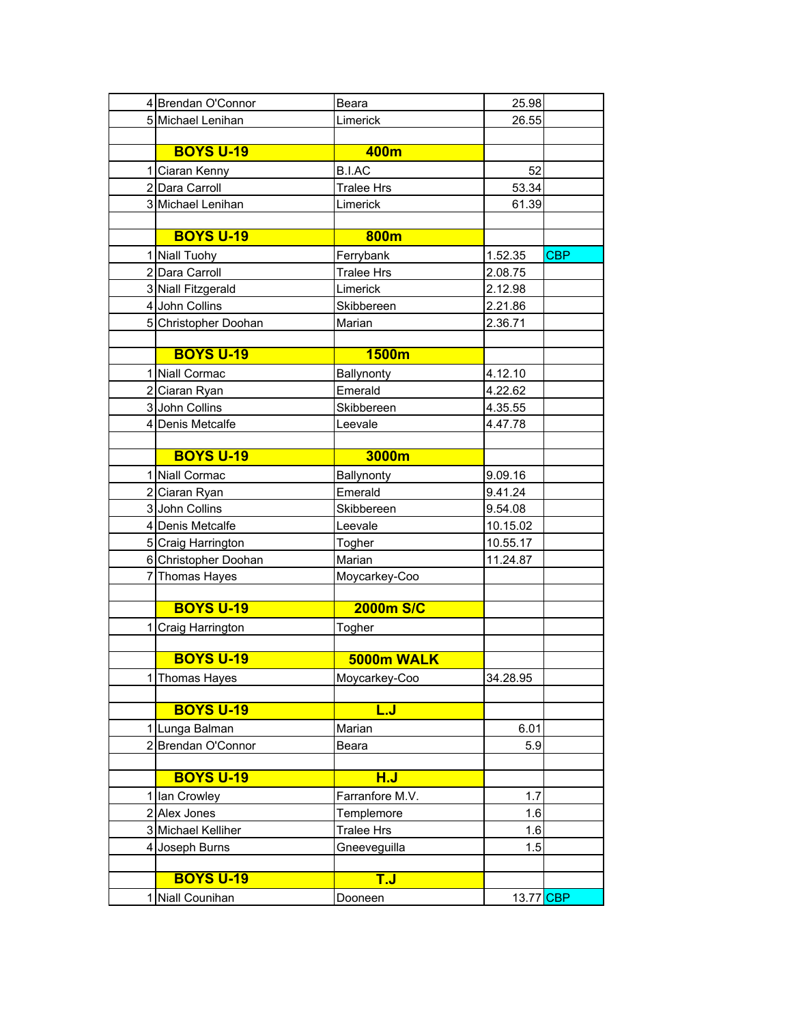| 4 Brendan O'Connor   | Beara             | 25.98     |            |
|----------------------|-------------------|-----------|------------|
| 5 Michael Lenihan    | Limerick          | 26.55     |            |
|                      |                   |           |            |
| <b>BOYS U-19</b>     | 400m              |           |            |
| 1 Ciaran Kenny       | <b>B.I.AC</b>     | 52        |            |
| 2 Dara Carroll       | <b>Tralee Hrs</b> | 53.34     |            |
| 3 Michael Lenihan    | Limerick          | 61.39     |            |
|                      |                   |           |            |
| <b>BOYS U-19</b>     | 800m              |           |            |
| 1 Niall Tuohy        | Ferrybank         | 1.52.35   | <b>CBP</b> |
| 2 Dara Carroll       | <b>Tralee Hrs</b> | 2.08.75   |            |
| 3 Niall Fitzgerald   | Limerick          | 2.12.98   |            |
| 4 John Collins       | Skibbereen        | 2.21.86   |            |
| 5 Christopher Doohan | Marian            | 2.36.71   |            |
|                      |                   |           |            |
| <b>BOYS U-19</b>     | 1500m             |           |            |
| 1 Niall Cormac       | Ballynonty        | 4.12.10   |            |
| 2 Ciaran Ryan        | Emerald           | 4.22.62   |            |
| 3 John Collins       | Skibbereen        | 4.35.55   |            |
| 4 Denis Metcalfe     | Leevale           | 4.47.78   |            |
|                      |                   |           |            |
| <b>BOYS U-19</b>     | 3000m             |           |            |
| 1 Niall Cormac       | Ballynonty        | 9.09.16   |            |
| 2 Ciaran Ryan        | Emerald           | 9.41.24   |            |
| 3 John Collins       | Skibbereen        | 9.54.08   |            |
| 4 Denis Metcalfe     | Leevale           | 10.15.02  |            |
| 5 Craig Harrington   | Togher            | 10.55.17  |            |
| 6 Christopher Doohan | Marian            | 11.24.87  |            |
| 7 Thomas Hayes       | Moycarkey-Coo     |           |            |
|                      |                   |           |            |
| <b>BOYS U-19</b>     | <b>2000m S/C</b>  |           |            |
| 1 Craig Harrington   | Togher            |           |            |
|                      |                   |           |            |
| <b>BOYS U-19</b>     | 5000m WALK        |           |            |
| 1 Thomas Hayes       | Moycarkey-Coo     | 34.28.95  |            |
|                      |                   |           |            |
| <b>BOYS U-19</b>     | <u>L.J</u>        |           |            |
| 1 Lunga Balman       | Marian            | 6.01      |            |
| 2 Brendan O'Connor   | Beara             | 5.9       |            |
|                      |                   |           |            |
| <b>BOYS U-19</b>     | H.J               |           |            |
| 1 Ian Crowley        | Farranfore M.V.   | 1.7       |            |
| 2 Alex Jones         | Templemore        | 1.6       |            |
| 3 Michael Kelliher   | <b>Tralee Hrs</b> | 1.6       |            |
| 4 Joseph Burns       | Gneeveguilla      | 1.5       |            |
|                      |                   |           |            |
| <b>BOYS U-19</b>     | T.J               |           |            |
| 1 Niall Counihan     | Dooneen           | 13.77 CBP |            |